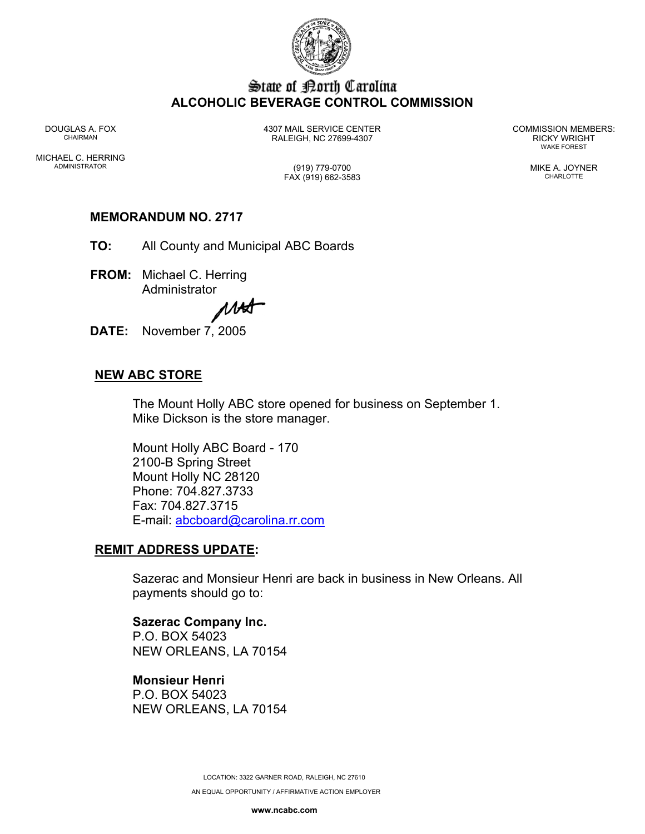

# State of Borth Carolina **ALCOHOLIC BEVERAGE CONTROL COMMISSION**

DOUGLAS A. FOX 4307 MAIL SERVICE CENTER COMMISSION MEMBERS: CHAIRMAN RALEIGH, NC 27699-4307 RICKY WRIGHT

WAKE FOREST

MICHAEL C. HERRING ADMINISTRATOR (919) 779-0700 MIKE A. JOYNER

FAX (919) 662-3583 CHARLOTTE

# **MEMORANDUM NO. 2717**

- **TO:** All County and Municipal ABC Boards
- **FROM:** Michael C. Herring Administrator

MAA

**DATE:** November 7, 2005

# **NEW ABC STORE**

The Mount Holly ABC store opened for business on September 1. Mike Dickson is the store manager.

Mount Holly ABC Board - 170 2100-B Spring Street Mount Holly NC 28120 Phone: 704.827.3733 Fax: 704.827.3715 E-mail: abcboard@carolina.rr.com

## **REMIT ADDRESS UPDATE:**

Sazerac and Monsieur Henri are back in business in New Orleans. All payments should go to:

**Sazerac Company Inc.**  P.O. BOX 54023 NEW ORLEANS, LA 70154

**Monsieur Henri**  P.O. BOX 54023 NEW ORLEANS, LA 70154

> LOCATION: 3322 GARNER ROAD, RALEIGH, NC 27610 AN EQUAL OPPORTUNITY / AFFIRMATIVE ACTION EMPLOYER